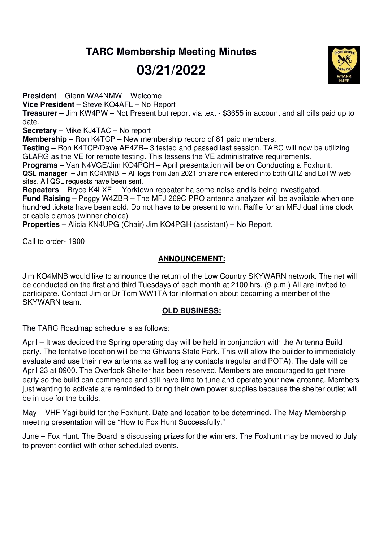## **TARC Membership Meeting Minutes**

# **03/21/2022**

**Presiden**t – Glenn WA4NMW – Welcome

**Vice President** – Steve KO4AFL – No Report

**Treasurer** – Jim KW4PW – Not Present but report via text - \$3655 in account and all bills paid up to date.

**Secretary** – Mike KJ4TAC – No report

**Membership** – Ron K4TCP – New membership record of 81 paid members.

**Testing** – Ron K4TCP/Dave AE4ZR– 3 tested and passed last session. TARC will now be utilizing GLARG as the VE for remote testing. This lessens the VE administrative requirements.

**Programs** – Van N4VGE/Jim KO4PGH – April presentation will be on Conducting a Foxhunt. **QSL manager** – Jim KO4MNB – All logs from Jan 2021 on are now entered into both QRZ and LoTW web sites. All QSL requests have been sent.

**Repeaters** – Bryce K4LXF – Yorktown repeater ha some noise and is being investigated. **Fund Raising** – Peggy W4ZBR – The MFJ 269C PRO antenna analyzer will be available when one hundred tickets have been sold. Do not have to be present to win. Raffle for an MFJ dual time clock or cable clamps (winner choice)

**Properties** – Alicia KN4UPG (Chair) Jim KO4PGH (assistant) – No Report.

Call to order- 1900

### **ANNOUNCEMENT:**

Jim KO4MNB would like to announce the return of the Low Country SKYWARN network. The net will be conducted on the first and third Tuesdays of each month at 2100 hrs. (9 p.m.) All are invited to participate. Contact Jim or Dr Tom WW1TA for information about becoming a member of the SKYWARN team.

### **OLD BUSINESS:**

The TARC Roadmap schedule is as follows:

April – It was decided the Spring operating day will be held in conjunction with the Antenna Build party. The tentative location will be the Ghivans State Park. This will allow the builder to immediately evaluate and use their new antenna as well log any contacts (regular and POTA). The date will be April 23 at 0900. The Overlook Shelter has been reserved. Members are encouraged to get there early so the build can commence and still have time to tune and operate your new antenna. Members just wanting to activate are reminded to bring their own power supplies because the shelter outlet will be in use for the builds.

May – VHF Yagi build for the Foxhunt. Date and location to be determined. The May Membership meeting presentation will be "How to Fox Hunt Successfully."

June – Fox Hunt. The Board is discussing prizes for the winners. The Foxhunt may be moved to July to prevent conflict with other scheduled events.